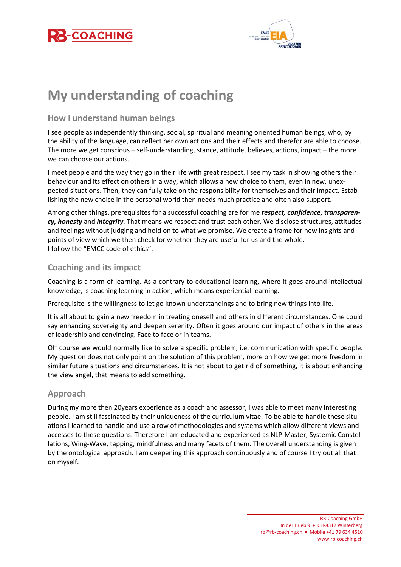



# **My understanding of coaching**

### **How I understand human beings**

I see people as independently thinking, social, spiritual and meaning oriented human beings, who, by the ability of the language, can reflect her own actions and their effects and therefor are able to choose. The more we get conscious – self-understanding, stance, attitude, believes, actions, impact – the more we can choose our actions.

I meet people and the way they go in their life with great respect. I see my task in showing others their behaviour and its effect on others in a way, which allows a new choice to them, even in new, unexpected situations. Then, they can fully take on the responsibility for themselves and their impact. Establishing the new choice in the personal world then needs much practice and often also support.

Among other things, prerequisites for a successful coaching are for me *respect, confidence*, *transparency, honesty* and *integrity*. That means we respect and trust each other. We disclose structures, attitudes and feelings without judging and hold on to what we promise. We create a frame for new insights and points of view which we then check for whether they are useful for us and the whole. I follow the "EMCC code of ethics".

# **Coaching and its impact**

Coaching is a form of learning. As a contrary to educational learning, where it goes around intellectual knowledge, is coaching learning in action, which means experiential learning.

Prerequisite is the willingness to let go known understandings and to bring new things into life.

It is all about to gain a new freedom in treating oneself and others in different circumstances. One could say enhancing sovereignty and deepen serenity. Often it goes around our impact of others in the areas of leadership and convincing. Face to face or in teams.

Off course we would normally like to solve a specific problem, i.e. communication with specific people. My question does not only point on the solution of this problem, more on how we get more freedom in similar future situations and circumstances. It is not about to get rid of something, it is about enhancing the view angel, that means to add something.

#### **Approach**

During my more then 20years experience as a coach and assessor, I was able to meet many interesting people. I am still fascinated by their uniqueness of the curriculum vitae. To be able to handle these situations I learned to handle and use a row of methodologies and systems which allow different views and accesses to these questions. Therefore I am educated and experienced as NLP-Master, Systemic Constellations, Wing-Wave, tapping, mindfulness and many facets of them. The overall understanding is given by the ontological approach. I am deepening this approach continuously and of course I try out all that on myself.